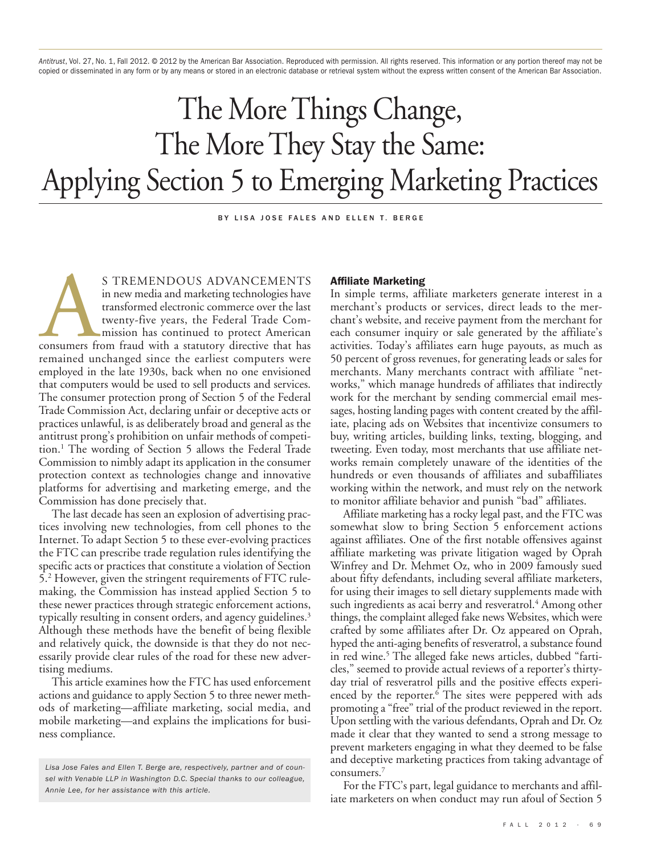*Antitrust*, Vol. 27, No. 1, Fall 2012. © 2012 by the American Bar Association. Reproduced with permission. All rights reserved. This information or any portion thereof may not be copied or disseminated in any form or by any means or stored in an electronic database or retrieval system without the express written consent of the American Bar Association.

# The More Things Change, The More They Stay the Same: Applying Section 5 to Emerging Marketing Practices

BY LISA JOSE FALES AND FLLEN T. BERGE

S TREMENDOUS ADVANCEMENTS<br>
in new media and marketing technologies have<br>
transformed electronic commerce over the last<br>
twenty-five years, the Federal Trade Com-<br>
mission has continued to protect American<br>
consumers from f in new media and marketing technologies have transformed electronic commerce over the last twenty-five years, the Federal Trade Commission has continued to protect American remained unchanged since the earliest computers were employed in the late 1930s, back when no one envisioned that computers would be used to sell products and services. The consumer protection prong of Section 5 of the Federal Trade Commission Act, declaring unfair or deceptive acts or practices unlawful, is as deliberately broad and general as the antitrust prong's prohibition on unfair methods of competition. <sup>1</sup> The wording of Section 5 allows the Federal Trade Commission to nimbly adapt its application in the consumer protection context as technologies change and innovative platforms for advertising and marketing emerge, and the Commission has done precisely that.

The last decade has seen an explosion of advertising practices involving new technologies, from cell phones to the Internet. To adapt Section 5 to these ever-evolving practices the FTC can prescribe trade regulation rules identifying the specific acts or practices that constitute a violation of Section 5. <sup>2</sup> However, given the stringent requirements of FTC rulemaking, the Commission has instead applied Section 5 to these newer practices through strategic enforcement actions, typically resulting in consent orders, and agency guidelines. 3 Although these methods have the benefit of being flexible and relatively quick, the downside is that they do not necessarily provide clear rules of the road for these new advertising mediums.

This article examines how the FTC has used enforcement actions and guidance to apply Section 5 to three newer methods of marketing—affiliate marketing, social media, and mobile marketing—and explains the implications for business compliance.

#### **Affiliate Marketing**

In simple terms, affiliate marketers generate interest in a merchant's products or services, direct leads to the merchant's website, and receive payment from the merchant for each consumer inquiry or sale generated by the affiliate's activities. Today's affiliates earn huge payouts, as much as 50 percent of gross revenues, for generating leads or sales for merchants. Many merchants contract with affiliate "networks," which manage hundreds of affiliates that indirectly work for the merchant by sending commercial email messages, hosting landing pages with content created by the affiliate, placing ads on Websites that incentivize consumers to buy, writing articles, building links, texting, blogging, and tweeting. Even today, most merchants that use affiliate networks remain completely unaware of the identities of the hundreds or even thousands of affiliates and subaffiliates working within the network, and must rely on the network to monitor affiliate behavior and punish "bad" affiliates.

Affiliate marketing has a rocky legal past, and the FTC was somewhat slow to bring Section 5 enforcement actions against affiliates. One of the first notable offensives against affiliate marketing was private litigation waged by Oprah Winfrey and Dr. Mehmet Oz, who in 2009 famously sued about fifty defendants, including several affiliate marketers, for using their images to sell dietary supplements made with such ingredients as acai berry and resveratrol. <sup>4</sup> Among other things, the complaint alleged fake news Websites, which were crafted by some affiliates after Dr. Oz appeared on Oprah, hyped the anti-aging benefits of resveratrol, a substance found in red wine. <sup>5</sup> The alleged fake news articles, dubbed "farticles," seemed to provide actual reviews of a reporter's thirtyday trial of resveratrol pills and the positive effects experienced by the reporter. <sup>6</sup> The sites were peppered with ads promoting a "free" trial of the product reviewed in the report. Upon settling with the various defendants, Oprah and Dr. Oz made it clear that they wanted to send a strong message to prevent marketers engaging in what they deemed to be false and deceptive marketing practices from taking advantage of consumers. 7

For the FTC's part, legal guidance to merchants and affiliate marketers on when conduct may run afoul of Section 5

*Lisa Jose Fales and Ellen T. Berge are, respectively, partner and of counsel with Venable LLP in Washington D.C. Special thanks to our colleague, Annie Lee, for her assistance with this article.*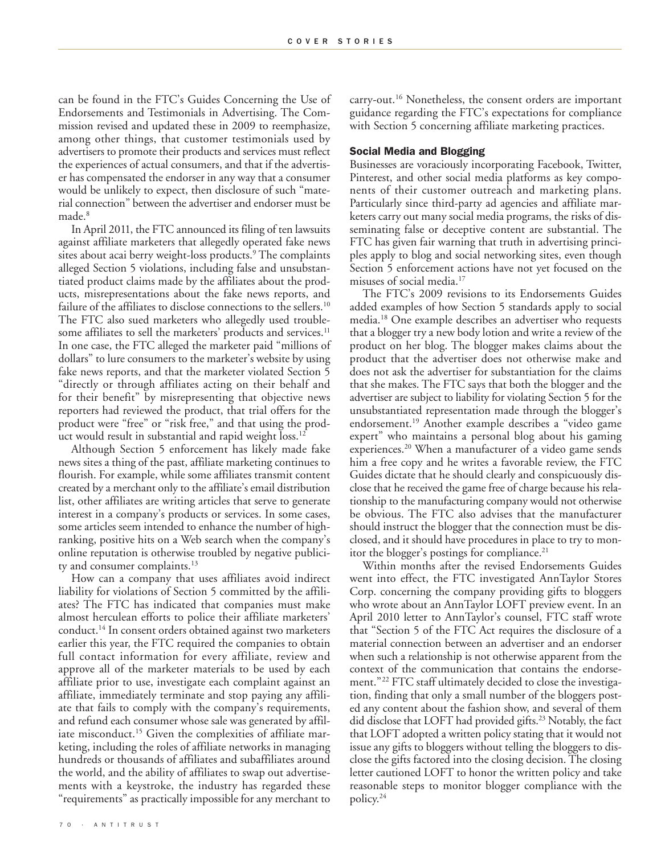can be found in the FTC's Guides Concerning the Use of Endorsements and Testimonials in Advertising. The Commission revised and updated these in 2009 to reemphasize, among other things, that customer testimonials used by advertisers to promote their products and services must reflect the experiences of actual consumers, and that if the advertiser has compensated the endorser in any way that a consumer would be unlikely to expect, then disclosure of such "material connection" between the advertiser and endorser must be made. 8

In April 2011, the FTC announced its filing of ten lawsuits against affiliate marketers that allegedly operated fake news sites about acai berry weight-loss products. <sup>9</sup> The complaints alleged Section 5 violations, including false and unsubstantiated product claims made by the affiliates about the products, misrepresentations about the fake news reports, and failure of the affiliates to disclose connections to the sellers. 10 The FTC also sued marketers who allegedly used troublesome affiliates to sell the marketers' products and services.<sup>11</sup> In one case, the FTC alleged the marketer paid "millions of dollars" to lure consumers to the marketer's website by using fake news reports, and that the marketer violated Section 5 "directly or through affiliates acting on their behalf and for their benefit" by misrepresenting that objective news reporters had reviewed the product, that trial offers for the product were "free" or "risk free," and that using the product would result in substantial and rapid weight loss. 12

Although Section 5 enforcement has likely made fake news sites a thing of the past, affiliate marketing continues to flourish. For example, while some affiliates transmit content created by a merchant only to the affiliate's email distribution list, other affiliates are writing articles that serve to generate interest in a company's products or services. In some cases, some articles seem intended to enhance the number of highranking, positive hits on a Web search when the company's online reputation is otherwise troubled by negative publicity and consumer complaints. 13

How can a company that uses affiliates avoid indirect liability for violations of Section 5 committed by the affiliates? The FTC has indicated that companies must make almost herculean efforts to police their affiliate marketers' conduct. <sup>14</sup> In consent orders obtained against two marketers earlier this year, the FTC required the companies to obtain full contact information for every affiliate, review and approve all of the marketer materials to be used by each affiliate prior to use, investigate each complaint against an affiliate, immediately terminate and stop paying any affiliate that fails to comply with the company's requirements, and refund each consumer whose sale was generated by affiliate misconduct. <sup>15</sup> Given the complexities of affiliate marketing, including the roles of affiliate networks in managing hundreds or thousands of affiliates and subaffiliates around the world, and the ability of affiliates to swap out advertisements with a keystroke, the industry has regarded these "requirements" as practically impossible for any merchant to

carry-out. <sup>16</sup> Nonetheless, the consent orders are important guidance regarding the FTC's expectations for compliance with Section 5 concerning affiliate marketing practices.

## **Social Media and Blogging**

Businesses are voraciously incorporating Facebook, Twitter, Pinterest, and other social media platforms as key components of their customer outreach and marketing plans. Particularly since third-party ad agencies and affiliate marketers carry out many social media programs, the risks of disseminating false or deceptive content are substantial. The FTC has given fair warning that truth in advertising principles apply to blog and social networking sites, even though Section 5 enforcement actions have not yet focused on the misuses of social media. 17

The FTC's 2009 revisions to its Endorsements Guides added examples of how Section 5 standards apply to social media. <sup>18</sup> One example describes an advertiser who requests that a blogger try a new body lotion and write a review of the product on her blog. The blogger makes claims about the product that the advertiser does not otherwise make and does not ask the advertiser for substantiation for the claims that she makes. The FTC says that both the blogger and the advertiser are subject to liability for violating Section 5 for the unsubstantiated representation made through the blogger's endorsement. <sup>19</sup> Another example describes a "video game expert" who maintains a personal blog about his gaming experiences. <sup>20</sup> When a manufacturer of a video game sends him a free copy and he writes a favorable review, the FTC Guides dictate that he should clearly and conspicuously disclose that he received the game free of charge because his relationship to the manufacturing company would not otherwise be obvious. The FTC also advises that the manufacturer should instruct the blogger that the connection must be disclosed, and it should have procedures in place to try to monitor the blogger's postings for compliance. 21

Within months after the revised Endorsements Guides went into effect, the FTC investigated AnnTaylor Stores Corp. concerning the company providing gifts to bloggers who wrote about an AnnTaylor LOFT preview event. In an April 2010 letter to AnnTaylor's counsel, FTC staff wrote that "Section 5 of the FTC Act requires the disclosure of a material connection between an advertiser and an endorser when such a relationship is not otherwise apparent from the context of the communication that contains the endorsement."<sup>22</sup> FTC staff ultimately decided to close the investigation, finding that only a small number of the bloggers posted any content about the fashion show, and several of them did disclose that LOFT had provided gifts. <sup>23</sup> Notably, the fact that LOFT adopted a written policy stating that it would not issue any gifts to bloggers without telling the bloggers to disclose the gifts factored into the closing decision. The closing letter cautioned LOFT to honor the written policy and take reasonable steps to monitor blogger compliance with the policy. 24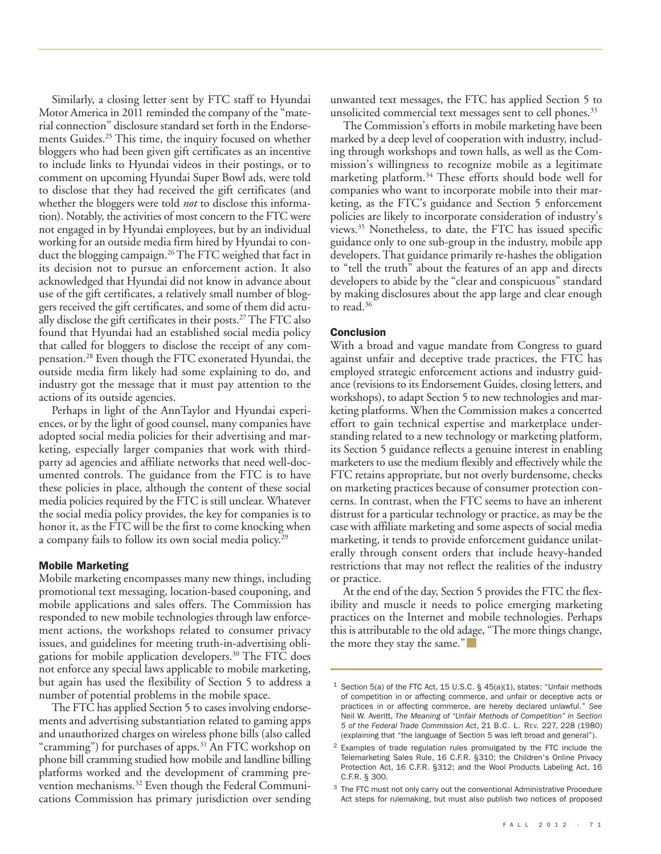Similarly, a closing letter sent by FTC staff to Hyundai Motor America in 2011 reminded the company of the "material connection" disclosure standard set forth in the Endorsements Guides. <sup>25</sup> This time, the inquiry focused on whether bloggers who had been given gift certificates as an incentive to include links to Hyundai videos in their postings, or to comment on upcoming Hyundai Super Bowl ads, were told to disclose that they had received the gift certificates (and whether the bloggers were told *not* to disclose this information). Notably, the activities of most concern to the FTC were not engaged in by Hyundai employees, but by an individual working for an outside media firm hired by Hyundai to conduct the blogging campaign. 26The FTC weighed that fact in its decision not to pursue an enforcement action. It also acknowledged that Hyundai did not know in advance about use of the gift certificates, a relatively small number of bloggers received the gift certificates, and some of them did actually disclose the gift certificates in their posts. 27The FTC also found that Hyundai had an established social media policy that called for bloggers to disclose the receipt of any compensation. <sup>28</sup> Even though the FTC exonerated Hyundai, the outside media firm likely had some explaining to do, and industry got the message that it must pay attention to the actions of its outside agencies.

Perhaps in light of the AnnTaylor and Hyundai experiences, or by the light of good counsel, many companies have adopted social media policies for their advertising and marketing, especially larger companies that work with thirdparty ad agencies and affiliate networks that need well-documented controls. The guidance from the FTC is to have these policies in place, although the content of these social media policies required by the FTC is still unclear. Whatever the social media policy provides, the key for companies is to honor it, as the FTC will be the first to come knocking when a company fails to follow its own social media policy. 29

## **Mobile Marketing**

Mobile marketing encompasses many new things, including promotional text messaging, location-based couponing, and mobile applications and sales offers. The Commission has responded to new mobile technologies through law enforcement actions, the workshops related to consumer privacy issues, and guidelines for meeting truth-in-advertising obligations for mobile application developers. <sup>30</sup> The FTC does not enforce any special laws applicable to mobile marketing, but again has used the flexibility of Section 5 to address a number of potential problems in the mobile space.

The FTC has applied Section 5 to cases involving endorsements and advertising substantiation related to gaming apps and unauthorized charges on wireless phone bills (also called "cramming") for purchases of apps. <sup>31</sup> An FTC workshop on phone bill cramming studied how mobile and landline billing platforms worked and the development of cramming prevention mechanisms. <sup>32</sup> Even though the Federal Communications Commission has primary jurisdiction over sending unwanted text messages, the FTC has applied Section 5 to unsolicited commercial text messages sent to cell phones. 33

The Commission's efforts in mobile marketing have been marked by a deep level of cooperation with industry, including through workshops and town halls, as well as the Commission's willingness to recognize mobile as a legitimate marketing platform. <sup>34</sup> These efforts should bode well for companies who want to incorporate mobile into their marketing, as the FTC's guidance and Section 5 enforcement policies are likely to incorporate consideration of industry's views. <sup>35</sup> Nonetheless, to date, the FTC has issued specific guidance only to one sub-group in the industry, mobile app developers. That guidance primarily re-hashes the obligation to "tell the truth" about the features of an app and directs developers to abide by the "clear and conspicuous" standard by making disclosures about the app large and clear enough to read. 36

### **Conclusion**

With a broad and vague mandate from Congress to guard against unfair and deceptive trade practices, the FTC has employed strategic enforcement actions and industry guidance (revisions to its Endorsement Guides, closing letters, and workshops), to adapt Section 5 to new technologies and marketing platforms. When the Commission makes a concerted effort to gain technical expertise and marketplace understanding related to a new technology or marketing platform, its Section 5 guidance reflects a genuine interest in enabling marketers to use the medium flexibly and effectively while the FTC retains appropriate, but not overly burdensome, checks on marketing practices because of consumer protection concerns. In contrast, when the FTC seems to have an inherent distrust for a particular technology or practice, as may be the case with affiliate marketing and some aspects of social media marketing, it tends to provide enforcement guidance unilaterally through consent orders that include heavy-handed restrictions that may not reflect the realities of the industry or practice.

At the end of the day, Section 5 provides the FTC the flexibility and muscle it needs to police emerging marketing practices on the Internet and mobile technologies. Perhaps this is attributable to the old adage, "The more things change, the more they stay the same."

 $^1$  Section 5(a) of the FTC Act, 15 U.S.C. § 45(a)(1), states: "Unfair methods of competition in or affecting commerce, and unfair or deceptive acts or practices in or affecting commerce, are hereby declared unlawful." *See* Neil W. Averitt, *The Meaning of "Unfair Methods of Competition" in Section 5 of the Federal Trade Commission Act*, 21 B.C. L. REV. 227, 228 (1980) (explaining that "the language of Section 5 was left broad and general").

<sup>2</sup> Examples of trade regulation rules promulgated by the FTC include the Telemarketing Sales Rule, 16 C.F.R. §310; the Children's Online Privacy Protection Act, 16 C.F.R. §312; and the Wool Products Labeling Act, 16 C.F.R. § 300.

<sup>&</sup>lt;sup>3</sup> The FTC must not only carry out the conventional Administrative Procedure Act steps for rulemaking, but must also publish two notices of proposed